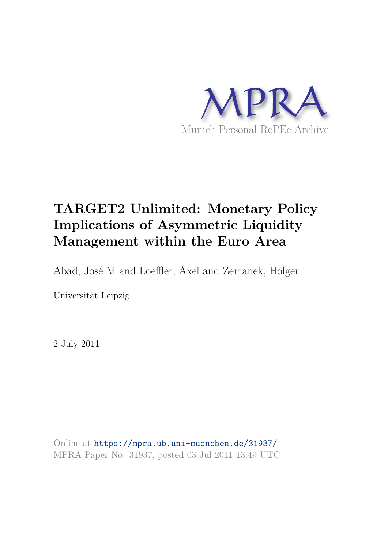

# **TARGET2 Unlimited: Monetary Policy Implications of Asymmetric Liquidity Management within the Euro Area**

Abad, José M and Loeffler, Axel and Zemanek, Holger

Universität Leipzig

2 July 2011

Online at https://mpra.ub.uni-muenchen.de/31937/ MPRA Paper No. 31937, posted 03 Jul 2011 13:49 UTC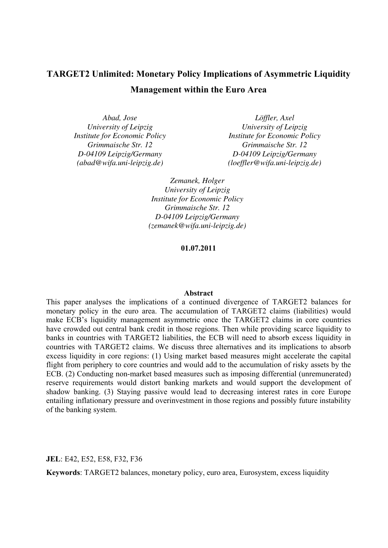## **TARGET2 Unlimited: Monetary Policy Implications of Asymmetric Liquidity Management within the Euro Area**

*Abad, Jose University of Leipzig Institute for Economic Policy Grimmaische Str. 12 D-04109 Leipzig/Germany (abad@wifa.uni-leipzig.de)* 

*Löffler, Axel University of Leipzig Institute for Economic Policy Grimmaische Str. 12 D-04109 Leipzig/Germany (loeffler@wifa.uni-leipzig.de)* 

*Zemanek, Holger University of Leipzig Institute for Economic Policy Grimmaische Str. 12 D-04109 Leipzig/Germany (zemanek@wifa.uni-leipzig.de)* 

**01.07.2011** 

#### **Abstract**

This paper analyses the implications of a continued divergence of TARGET2 balances for monetary policy in the euro area. The accumulation of TARGET2 claims (liabilities) would make ECB's liquidity management asymmetric once the TARGET2 claims in core countries have crowded out central bank credit in those regions. Then while providing scarce liquidity to banks in countries with TARGET2 liabilities, the ECB will need to absorb excess liquidity in countries with TARGET2 claims. We discuss three alternatives and its implications to absorb excess liquidity in core regions: (1) Using market based measures might accelerate the capital flight from periphery to core countries and would add to the accumulation of risky assets by the ECB. (2) Conducting non-market based measures such as imposing differential (unremunerated) reserve requirements would distort banking markets and would support the development of shadow banking. (3) Staying passive would lead to decreasing interest rates in core Europe entailing inflationary pressure and overinvestment in those regions and possibly future instability of the banking system.

**JEL**: E42, E52, E58, F32, F36

**Keywords**: TARGET2 balances, monetary policy, euro area, Eurosystem, excess liquidity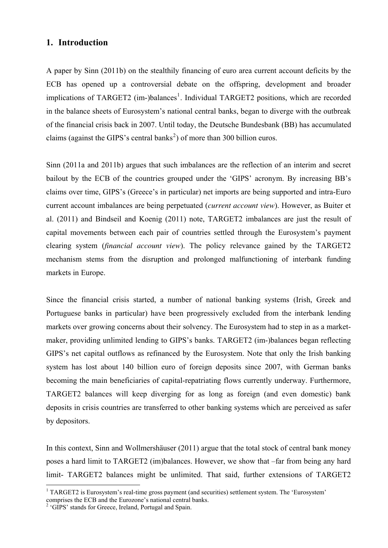## **1. Introduction**

A paper by Sinn (2011b) on the stealthily financing of euro area current account deficits by the ECB has opened up a controversial debate on the offspring, development and broader implications of TARGET2 (im-)balances<sup>[1](#page-2-0)</sup>. Individual TARGET2 positions, which are recorded in the balance sheets of Eurosystem's national central banks, began to diverge with the outbreak of the financial crisis back in 2007. Until today, the Deutsche Bundesbank (BB) has accumulated claims (against the GIPS's central banks<sup>[2](#page-2-1)</sup>) of more than 300 billion euros.

Sinn (2011a and 2011b) argues that such imbalances are the reflection of an interim and secret bailout by the ECB of the countries grouped under the 'GIPS' acronym. By increasing BB's claims over time, GIPS's (Greece's in particular) net imports are being supported and intra-Euro current account imbalances are being perpetuated (*current account view*). However, as Buiter et al. (2011) and Bindseil and Koenig (2011) note, TARGET2 imbalances are just the result of capital movements between each pair of countries settled through the Eurosystem's payment clearing system (*financial account view*). The policy relevance gained by the TARGET2 mechanism stems from the disruption and prolonged malfunctioning of interbank funding markets in Europe.

Since the financial crisis started, a number of national banking systems (Irish, Greek and Portuguese banks in particular) have been progressively excluded from the interbank lending markets over growing concerns about their solvency. The Eurosystem had to step in as a marketmaker, providing unlimited lending to GIPS's banks. TARGET2 (im-)balances began reflecting GIPS's net capital outflows as refinanced by the Eurosystem. Note that only the Irish banking system has lost about 140 billion euro of foreign deposits since 2007, with German banks becoming the main beneficiaries of capital-repatriating flows currently underway. Furthermore, TARGET2 balances will keep diverging for as long as foreign (and even domestic) bank deposits in crisis countries are transferred to other banking systems which are perceived as safer by depositors.

In this context, Sinn and Wollmershäuser (2011) argue that the total stock of central bank money poses a hard limit to TARGET2 (im)balances. However, we show that –far from being any hard limit- TARGET2 balances might be unlimited. That said, further extensions of TARGET2

<u>.</u>

<span id="page-2-0"></span><sup>&</sup>lt;sup>1</sup> TARGET2 is Eurosystem's real-time gross payment (and securities) settlement system. The 'Eurosystem'

<span id="page-2-1"></span>comprises the ECB and the Eurozone's national central banks. 2 'GIPS' stands for Greece, Ireland, Portugal and Spain.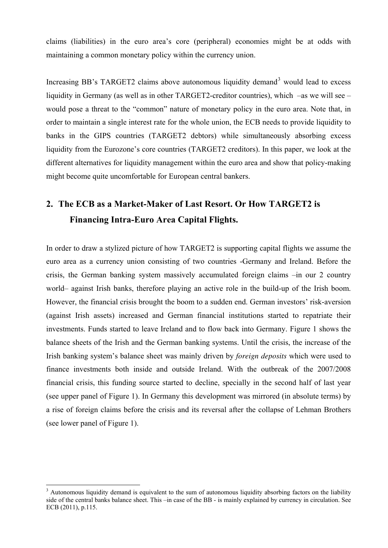claims (liabilities) in the euro area's core (peripheral) economies might be at odds with maintaining a common monetary policy within the currency union.

Increasing BB's TARGET2 claims above autonomous liquidity demand<sup>[3](#page-3-0)</sup> would lead to excess liquidity in Germany (as well as in other TARGET2-creditor countries), which –as we will see – would pose a threat to the "common" nature of monetary policy in the euro area. Note that, in order to maintain a single interest rate for the whole union, the ECB needs to provide liquidity to banks in the GIPS countries (TARGET2 debtors) while simultaneously absorbing excess liquidity from the Eurozone's core countries (TARGET2 creditors). In this paper, we look at the different alternatives for liquidity management within the euro area and show that policy-making might become quite uncomfortable for European central bankers.

## **2. The ECB as a Market-Maker of Last Resort. Or How TARGET2 is Financing Intra-Euro Area Capital Flights.**

In order to draw a stylized picture of how TARGET2 is supporting capital flights we assume the euro area as a currency union consisting of two countries -Germany and Ireland. Before the crisis, the German banking system massively accumulated foreign claims –in our 2 country world– against Irish banks, therefore playing an active role in the build-up of the Irish boom. However, the financial crisis brought the boom to a sudden end. German investors' risk-aversion (against Irish assets) increased and German financial institutions started to repatriate their investments. Funds started to leave Ireland and to flow back into Germany. Figure 1 shows the balance sheets of the Irish and the German banking systems. Until the crisis, the increase of the Irish banking system's balance sheet was mainly driven by *foreign deposits* which were used to finance investments both inside and outside Ireland. With the outbreak of the 2007/2008 financial crisis, this funding source started to decline, specially in the second half of last year (see upper panel of Figure 1). In Germany this development was mirrored (in absolute terms) by a rise of foreign claims before the crisis and its reversal after the collapse of Lehman Brothers (see lower panel of Figure 1).

<u>.</u>

<span id="page-3-0"></span><sup>&</sup>lt;sup>3</sup> Autonomous liquidity demand is equivalent to the sum of autonomous liquidity absorbing factors on the liability side of the central banks balance sheet. This –in case of the BB - is mainly explained by currency in circulation. See ECB (2011), p.115.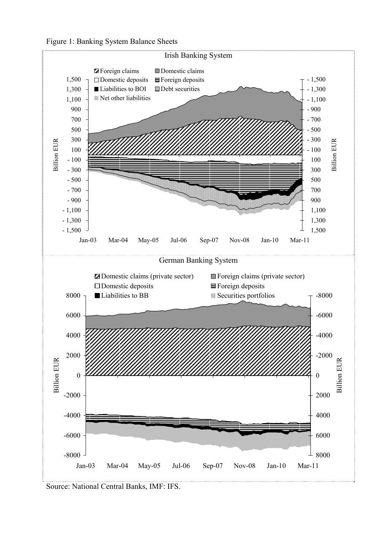



Source: National Central Banks, IMF: IFS.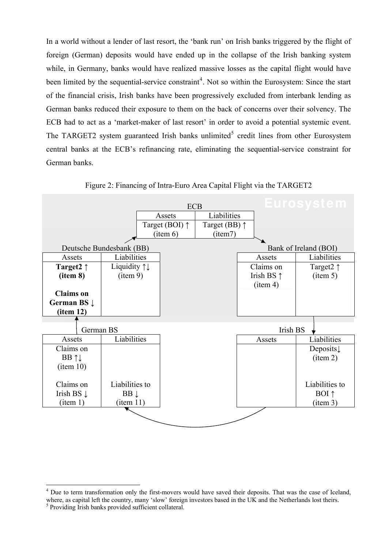In a world without a lender of last resort, the 'bank run' on Irish banks triggered by the flight of foreign (German) deposits would have ended up in the collapse of the Irish banking system while, in Germany, banks would have realized massive losses as the capital flight would have been limited by the sequential-service constraint<sup>[4](#page-5-0)</sup>. Not so within the Eurosystem: Since the start of the financial crisis, Irish banks have been progressively excluded from interbank lending as German banks reduced their exposure to them on the back of concerns over their solvency. The ECB had to act as a 'market-maker of last resort' in order to avoid a potential systemic event. The TARGET2 system guaranteed Irish banks unlimited<sup>[5](#page-5-1)</sup> credit lines from other Eurosystem central banks at the ECB's refinancing rate, eliminating the sequential-service constraint for German banks.



Figure 2: Financing of Intra-Euro Area Capital Flight via the TARGET2

<span id="page-5-0"></span><sup>&</sup>lt;sup>4</sup> Due to term transformation only the first-movers would have saved their deposits. That was the case of Iceland, where, as capital left the country, many 'slow' foreign investors based in the UK and the Netherlands lost theirs.<br><sup>5</sup> Providing Irish banks provided sufficient collateral.

<span id="page-5-1"></span>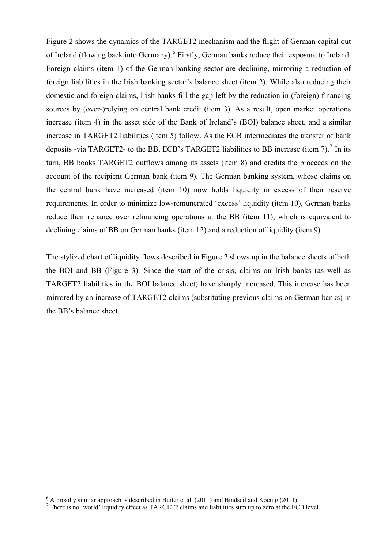Figure 2 shows the dynamics of the TARGET2 mechanism and the flight of German capital out of Ireland (flowing back into Germany).<sup>[6](#page-6-0)</sup> Firstly, German banks reduce their exposure to Ireland. Foreign claims (item 1) of the German banking sector are declining, mirroring a reduction of foreign liabilities in the Irish banking sector's balance sheet (item 2). While also reducing their domestic and foreign claims, Irish banks fill the gap left by the reduction in (foreign) financing sources by (over-)relying on central bank credit (item 3). As a result, open market operations increase (item 4) in the asset side of the Bank of Ireland's (BOI) balance sheet, and a similar increase in TARGET2 liabilities (item 5) follow. As the ECB intermediates the transfer of bank deposits -via TARGET2- to the BB, ECB's TARGET2 liabilities to BB increase (item [7](#page-6-1)).<sup>7</sup> In its turn, BB books TARGET2 outflows among its assets (item 8) and credits the proceeds on the account of the recipient German bank (item 9). The German banking system, whose claims on the central bank have increased (item 10) now holds liquidity in excess of their reserve requirements. In order to minimize low-remunerated 'excess' liquidity (item 10), German banks reduce their reliance over refinancing operations at the BB (item 11), which is equivalent to declining claims of BB on German banks (item 12) and a reduction of liquidity (item 9).

The stylized chart of liquidity flows described in Figure 2 shows up in the balance sheets of both the BOI and BB (Figure 3). Since the start of the crisis, claims on Irish banks (as well as TARGET2 liabilities in the BOI balance sheet) have sharply increased. This increase has been mirrored by an increase of TARGET2 claims (substituting previous claims on German banks) in the BB's balance sheet.

<span id="page-6-0"></span> $\frac{1}{6}$  A broadly similar approach is described in Buiter et al. (2011) and Bindseil and Koenig (2011).<br><sup>7</sup> There is no 'world' liquidity effect as TARGET2 claims and liabilities sum up to zero at the ECB level.

<span id="page-6-1"></span>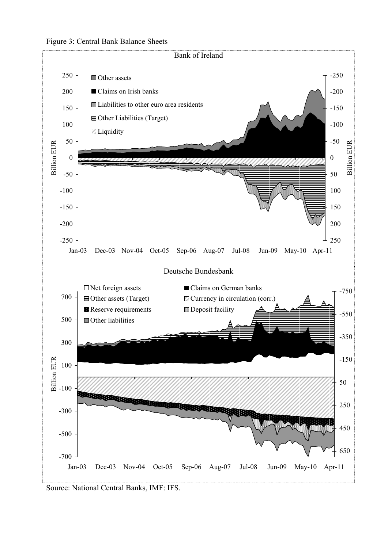



Source: National Central Banks, IMF: IFS.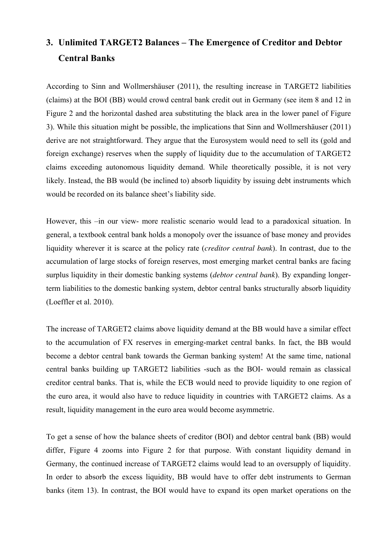## **3. Unlimited TARGET2 Balances – The Emergence of Creditor and Debtor Central Banks**

According to Sinn and Wollmershäuser (2011), the resulting increase in TARGET2 liabilities (claims) at the BOI (BB) would crowd central bank credit out in Germany (see item 8 and 12 in Figure 2 and the horizontal dashed area substituting the black area in the lower panel of Figure 3). While this situation might be possible, the implications that Sinn and Wollmershäuser (2011) derive are not straightforward. They argue that the Eurosystem would need to sell its (gold and foreign exchange) reserves when the supply of liquidity due to the accumulation of TARGET2 claims exceeding autonomous liquidity demand. While theoretically possible, it is not very likely. Instead, the BB would (be inclined to) absorb liquidity by issuing debt instruments which would be recorded on its balance sheet's liability side.

However, this –in our view- more realistic scenario would lead to a paradoxical situation. In general, a textbook central bank holds a monopoly over the issuance of base money and provides liquidity wherever it is scarce at the policy rate (*creditor central bank*). In contrast, due to the accumulation of large stocks of foreign reserves, most emerging market central banks are facing surplus liquidity in their domestic banking systems (*debtor central bank*). By expanding longerterm liabilities to the domestic banking system, debtor central banks structurally absorb liquidity (Loeffler et al. 2010).

The increase of TARGET2 claims above liquidity demand at the BB would have a similar effect to the accumulation of FX reserves in emerging-market central banks. In fact, the BB would become a debtor central bank towards the German banking system! At the same time, national central banks building up TARGET2 liabilities -such as the BOI- would remain as classical creditor central banks. That is, while the ECB would need to provide liquidity to one region of the euro area, it would also have to reduce liquidity in countries with TARGET2 claims. As a result, liquidity management in the euro area would become asymmetric.

To get a sense of how the balance sheets of creditor (BOI) and debtor central bank (BB) would differ, Figure 4 zooms into Figure 2 for that purpose. With constant liquidity demand in Germany, the continued increase of TARGET2 claims would lead to an oversupply of liquidity. In order to absorb the excess liquidity, BB would have to offer debt instruments to German banks (item 13). In contrast, the BOI would have to expand its open market operations on the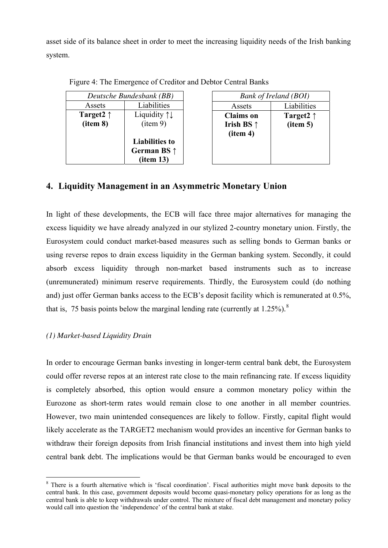asset side of its balance sheet in order to meet the increasing liquidity needs of the Irish banking system.

| Deutsche Bundesbank (BB) |                                                           |  |
|--------------------------|-----------------------------------------------------------|--|
| Assets                   | Liabilities                                               |  |
| Target2 $\uparrow$       | Liquidity $\uparrow \downarrow$                           |  |
| item 8)                  | (item 9)                                                  |  |
|                          | <b>Liabilities to</b><br>German BS $\uparrow$<br>item 13) |  |

Figure 4: The Emergence of Creditor and Debtor Central Banks

## *Bank of Ireland (BOI)*  Assets Liabilities **Claims on Irish BS ↑ (item 4) Target2 ↑ (item 5)**

## **4. Liquidity Management in an Asymmetric Monetary Union**

In light of these developments, the ECB will face three major alternatives for managing the excess liquidity we have already analyzed in our stylized 2-country monetary union. Firstly, the Eurosystem could conduct market-based measures such as selling bonds to German banks or using reverse repos to drain excess liquidity in the German banking system. Secondly, it could absorb excess liquidity through non-market based instruments such as to increase (unremunerated) minimum reserve requirements. Thirdly, the Eurosystem could (do nothing and) just offer German banks access to the ECB's deposit facility which is remunerated at 0.5%, that is, 75 basis points below the marginal lending rate (currently at 1.25%).<sup>[8](#page-9-0)</sup>

### *(1) Market-based Liquidity Drain*

In order to encourage German banks investing in longer-term central bank debt, the Eurosystem could offer reverse repos at an interest rate close to the main refinancing rate. If excess liquidity is completely absorbed, this option would ensure a common monetary policy within the Eurozone as short-term rates would remain close to one another in all member countries. However, two main unintended consequences are likely to follow. Firstly, capital flight would likely accelerate as the TARGET2 mechanism would provides an incentive for German banks to withdraw their foreign deposits from Irish financial institutions and invest them into high yield central bank debt. The implications would be that German banks would be encouraged to even

<span id="page-9-0"></span><sup>&</sup>lt;sup>8</sup> There is a fourth alternative which is 'fiscal coordination'. Fiscal authorities might move bank deposits to the central bank. In this case, government deposits would become quasi-monetary policy operations for as long as the central bank is able to keep withdrawals under control. The mixture of fiscal debt management and monetary policy would call into question the 'independence' of the central bank at stake.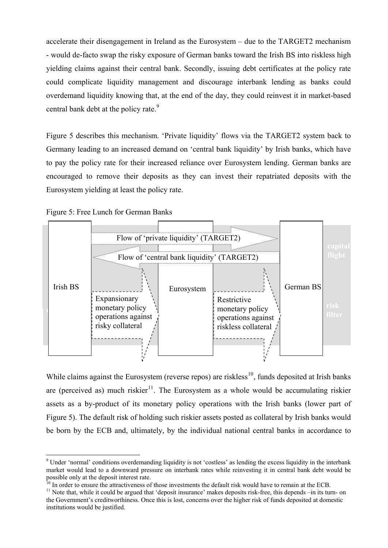accelerate their disengagement in Ireland as the Eurosystem – due to the TARGET2 mechanism - would de-facto swap the risky exposure of German banks toward the Irish BS into riskless high yielding claims against their central bank. Secondly, issuing debt certificates at the policy rate could complicate liquidity management and discourage interbank lending as banks could overdemand liquidity knowing that, at the end of the day, they could reinvest it in market-based central bank debt at the policy rate.<sup>[9](#page-10-0)</sup>

Figure 5 describes this mechanism. 'Private liquidity' flows via the TARGET2 system back to Germany leading to an increased demand on 'central bank liquidity' by Irish banks, which have to pay the policy rate for their increased reliance over Eurosystem lending. German banks are encouraged to remove their deposits as they can invest their repatriated deposits with the Eurosystem yielding at least the policy rate.



Figure 5: Free Lunch for German Banks

While claims against the Eurosystem (reverse repos) are riskless<sup>[10](#page-10-1)</sup>, funds deposited at Irish banks are (perceived as) much riskier<sup>[11](#page-10-2)</sup>. The Eurosystem as a whole would be accumulating riskier assets as a by-product of its monetary policy operations with the Irish banks (lower part of Figure 5). The default risk of holding such riskier assets posted as collateral by Irish banks would be born by the ECB and, ultimately, by the individual national central banks in accordance to

<span id="page-10-0"></span><sup>&</sup>lt;sup>9</sup> Under 'normal' conditions overdemanding liquidity is not 'costless' as lending the excess liquidity in the interbank market would lead to a downward pressure on interbank rates while reinvesting it in central bank debt would be possible only at the deposit interest rate.

<span id="page-10-1"></span> $10$  In order to ensure the attractiveness of those investments the default risk would have to remain at the ECB.

<span id="page-10-2"></span><sup>&</sup>lt;sup>11</sup> Note that, while it could be argued that 'deposit insurance' makes deposits risk-free, this depends –in its turn- on the Government's creditworthiness. Once this is lost, concerns over the higher risk of funds deposited at domestic institutions would be justified.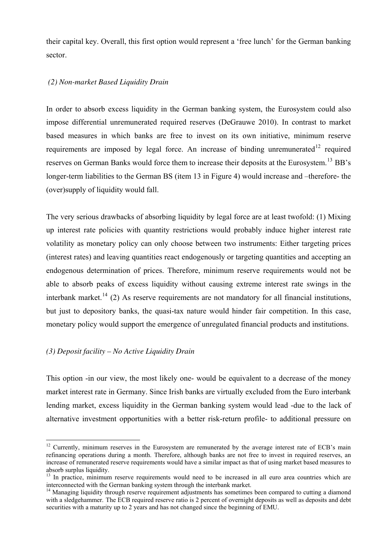their capital key. Overall, this first option would represent a 'free lunch' for the German banking sector.

#### *(2) Non-market Based Liquidity Drain*

In order to absorb excess liquidity in the German banking system, the Eurosystem could also impose differential unremunerated required reserves (DeGrauwe 2010). In contrast to market based measures in which banks are free to invest on its own initiative, minimum reserve requirements are imposed by legal force. An increase of binding unremunerated<sup>[12](#page-11-0)</sup> required reserves on German Banks would force them to increase their deposits at the Eurosystem.<sup>[13](#page-11-1)</sup> BB's longer-term liabilities to the German BS (item 13 in Figure 4) would increase and –therefore- the (over)supply of liquidity would fall.

The very serious drawbacks of absorbing liquidity by legal force are at least twofold: (1) Mixing up interest rate policies with quantity restrictions would probably induce higher interest rate volatility as monetary policy can only choose between two instruments: Either targeting prices (interest rates) and leaving quantities react endogenously or targeting quantities and accepting an endogenous determination of prices. Therefore, minimum reserve requirements would not be able to absorb peaks of excess liquidity without causing extreme interest rate swings in the interbank market.<sup>[14](#page-11-2)</sup> (2) As reserve requirements are not mandatory for all financial institutions, but just to depository banks, the quasi-tax nature would hinder fair competition. In this case, monetary policy would support the emergence of unregulated financial products and institutions.

### *(3) Deposit facility – No Active Liquidity Drain*

This option -in our view, the most likely one- would be equivalent to a decrease of the money market interest rate in Germany. Since Irish banks are virtually excluded from the Euro interbank lending market, excess liquidity in the German banking system would lead -due to the lack of alternative investment opportunities with a better risk-return profile- to additional pressure on

<span id="page-11-0"></span><sup>&</sup>lt;u>.</u> <sup>12</sup> Currently, minimum reserves in the Eurosystem are remunerated by the average interest rate of ECB's main refinancing operations during a month. Therefore, although banks are not free to invest in required reserves, an increase of remunerated reserve requirements would have a similar impact as that of using market based measures to absorb surplus liquidity.

<span id="page-11-1"></span><sup>&</sup>lt;sup>13</sup> In practice, minimum reserve requirements would need to be increased in all euro area countries which are interconnected with the German banking system through the interbank market.

<span id="page-11-2"></span><sup>&</sup>lt;sup>14</sup> Managing liquidity through reserve requirement adjustments has sometimes been compared to cutting a diamond with a sledgehammer. The ECB required reserve ratio is 2 percent of overnight deposits as well as deposits and debt securities with a maturity up to 2 years and has not changed since the beginning of EMU.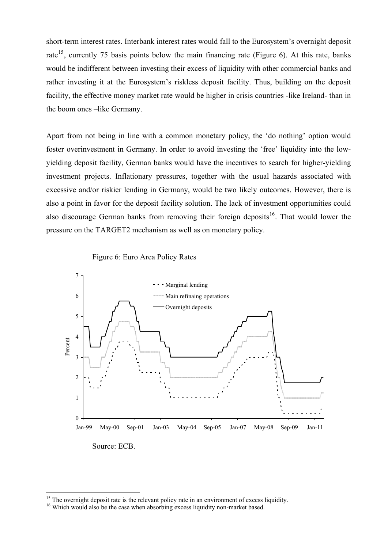short-term interest rates. Interbank interest rates would fall to the Eurosystem's overnight deposit rate<sup>[15](#page-12-0)</sup>, currently 75 basis points below the main financing rate (Figure 6). At this rate, banks would be indifferent between investing their excess of liquidity with other commercial banks and rather investing it at the Eurosystem's riskless deposit facility. Thus, building on the deposit facility, the effective money market rate would be higher in crisis countries -like Ireland- than in the boom ones –like Germany.

Apart from not being in line with a common monetary policy, the 'do nothing' option would foster overinvestment in Germany. In order to avoid investing the 'free' liquidity into the lowyielding deposit facility, German banks would have the incentives to search for higher-yielding investment projects. Inflationary pressures, together with the usual hazards associated with excessive and/or riskier lending in Germany, would be two likely outcomes. However, there is also a point in favor for the deposit facility solution. The lack of investment opportunities could also discourage German banks from removing their foreign deposits<sup>[16](#page-12-1)</sup>. That would lower the pressure on the TARGET2 mechanism as well as on monetary policy.





Source: ECB.

-

 $15$  The overnight deposit rate is the relevant policy rate in an environment of excess liquidity.

<span id="page-12-1"></span><span id="page-12-0"></span><sup>&</sup>lt;sup>16</sup> Which would also be the case when absorbing excess liquidity non-market based.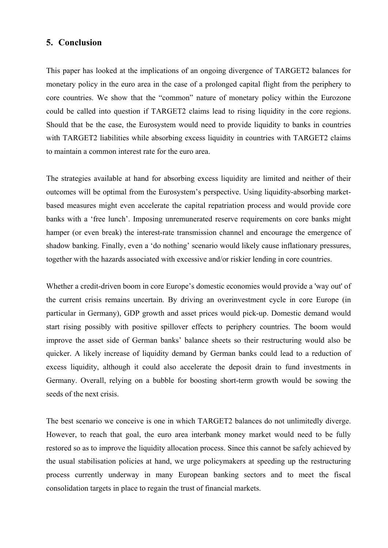### **5. Conclusion**

This paper has looked at the implications of an ongoing divergence of TARGET2 balances for monetary policy in the euro area in the case of a prolonged capital flight from the periphery to core countries. We show that the "common" nature of monetary policy within the Eurozone could be called into question if TARGET2 claims lead to rising liquidity in the core regions. Should that be the case, the Eurosystem would need to provide liquidity to banks in countries with TARGET2 liabilities while absorbing excess liquidity in countries with TARGET2 claims to maintain a common interest rate for the euro area.

The strategies available at hand for absorbing excess liquidity are limited and neither of their outcomes will be optimal from the Eurosystem's perspective. Using liquidity-absorbing marketbased measures might even accelerate the capital repatriation process and would provide core banks with a 'free lunch'. Imposing unremunerated reserve requirements on core banks might hamper (or even break) the interest-rate transmission channel and encourage the emergence of shadow banking. Finally, even a 'do nothing' scenario would likely cause inflationary pressures, together with the hazards associated with excessive and/or riskier lending in core countries.

Whether a credit-driven boom in core Europe's domestic economies would provide a 'way out' of the current crisis remains uncertain. By driving an overinvestment cycle in core Europe (in particular in Germany), GDP growth and asset prices would pick-up. Domestic demand would start rising possibly with positive spillover effects to periphery countries. The boom would improve the asset side of German banks' balance sheets so their restructuring would also be quicker. A likely increase of liquidity demand by German banks could lead to a reduction of excess liquidity, although it could also accelerate the deposit drain to fund investments in Germany. Overall, relying on a bubble for boosting short-term growth would be sowing the seeds of the next crisis.

The best scenario we conceive is one in which TARGET2 balances do not unlimitedly diverge. However, to reach that goal, the euro area interbank money market would need to be fully restored so as to improve the liquidity allocation process. Since this cannot be safely achieved by the usual stabilisation policies at hand, we urge policymakers at speeding up the restructuring process currently underway in many European banking sectors and to meet the fiscal consolidation targets in place to regain the trust of financial markets.